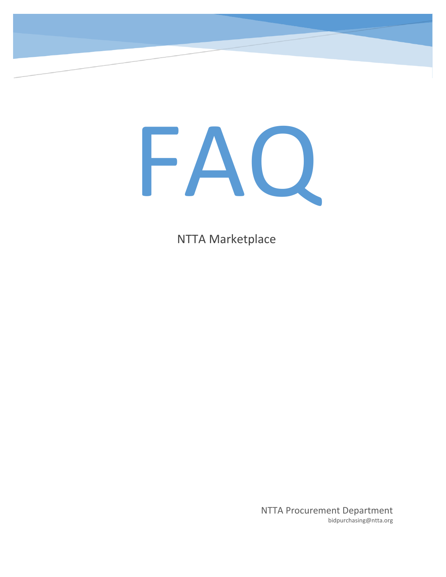

NTTA Marketplace

NTTA Procurement Department bidpurchasing@ntta.org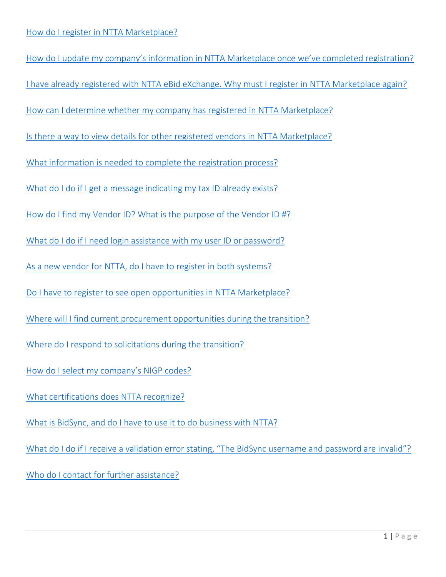<span id="page-1-0"></span>How do I update my company's information [in NTTA Marketplace once we've completed registration](#page-3-0)? [I have already registered with NTTA eBid eXchange. Why must I register in NTTA Marketplace again?](#page-2-1) How can I determine whether my company has [registered in NTTA Marketplace?](#page-2-2) [Is there a way to view details for other registered vendors in NTTA Marketplace?](#page-2-2) [What information is needed to complete the registration process?](#page-3-1) [What do I do if I get a message indicating my tax ID already exists?](#page-3-2) [How do I find my Vendor ID? What is the purpose of the Vendor ID #?](#page-4-0) [What do I do if I need login assistance with my user ID or password?](#page-4-1) [As a new vendor for NTTA, do I have to register in both systems?](#page-2-3) Do I [have to register to see open opportunities in NTTA Marketplace?](#page-2-4) [Where will I find current procurement opportunities during the transition?](#page-2-5) Where do I [respond to solicitations](#page-2-6) during the transition? [How do I select my company's NIGP codes?](#page-4-2) [What certifications does NTTA recognize?](#page-3-3) [What is BidSync, and do I have to use it to do business with NTTA?](#page-4-3) [What do I do if I receive a validation error stating, "The BidSync username and password are invalid"?](#page-4-4) [Who do I contact for further assistance?](#page-4-5)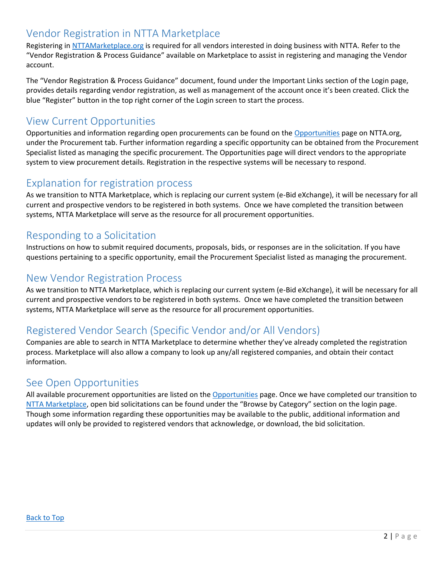## <span id="page-2-0"></span>Vendor Registration in NTTA Marketplace

Registering in [NTTAMarketplace.org](http://nttamarketplace.org/) is required for all vendors interested in doing business with NTTA. Refer to the "Vendor Registration & Process Guidance" available on Marketplace to assist in registering and managing the Vendor account.

The "Vendor Registration & Process Guidance" document, found under the Important Links section of the Login page, provides details regarding vendor registration, as well as management of the account once it's been created. Click the blue "Register" button in the top right corner of the Login screen to start the process.

#### <span id="page-2-5"></span>View Current Opportunities

Opportunities and information regarding open procurements can be found on the [Opportunities](https://www.ntta.org/procurement/opportunities/Pages/default.aspx) page on NTTA.org, under the Procurement tab. Further information regarding a specific opportunity can be obtained from the Procurement Specialist listed as managing the specific procurement. The Opportunities page will direct vendors to the appropriate system to view procurement details. Registration in the respective systems will be necessary to respond.

#### <span id="page-2-1"></span>Explanation for registration process

As we transition to NTTA Marketplace, which is replacing our current system (e-Bid eXchange), it will be necessary for all current and prospective vendors to be registered in both systems. Once we have completed the transition between systems, NTTA Marketplace will serve as the resource for all procurement opportunities.

#### <span id="page-2-6"></span>Responding to a Solicitation

Instructions on how to submit required documents, proposals, bids, or responses are in the solicitation. If you have questions pertaining to a specific opportunity, email the Procurement Specialist listed as managing the procurement.

#### <span id="page-2-3"></span>New Vendor Registration Process

As we transition to NTTA Marketplace, which is replacing our current system (e-Bid eXchange), it will be necessary for all current and prospective vendors to be registered in both systems. Once we have completed the transition between systems, NTTA Marketplace will serve as the resource for all procurement opportunities.

# <span id="page-2-2"></span>Registered Vendor Search (Specific Vendor and/or All Vendors)

Companies are able to search in NTTA Marketplace to determine whether they've already completed the registration process. Marketplace will also allow a company to look up any/all registered companies, and obtain their contact information.

#### <span id="page-2-4"></span>See Open Opportunities

All available procurement opportunities are listed on the [Opportunities](https://www.ntta.org/procurement/opportunities/Pages/default.aspx) page. Once we have completed our transition to [NTTA Marketplace,](https://www.nttamarketplace.org/bso/) open bid solicitations can be found under the "Browse by Category" section on the login page. Though some information regarding these opportunities may be available to the public, additional information and updates will only be provided to registered vendors that acknowledge, or download, the bid solicitation.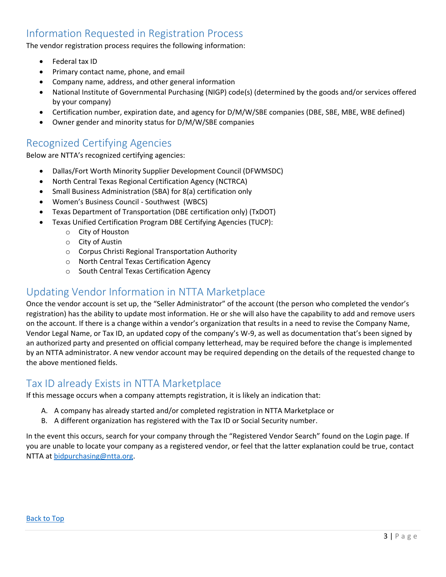# <span id="page-3-1"></span>Information Requested in Registration Process

The vendor registration process requires the following information:

- Federal tax ID
- Primary contact name, phone, and email
- Company name, address, and other general information
- National Institute of Governmental Purchasing (NIGP) code(s) (determined by the goods and/or services offered by your company)
- Certification number, expiration date, and agency for D/M/W/SBE companies (DBE, SBE, MBE, WBE defined)
- Owner gender and minority status for D/M/W/SBE companies

#### <span id="page-3-3"></span>Recognized Certifying Agencies

Below are NTTA's recognized certifying agencies:

- Dallas/Fort Worth Minority Supplier Development Council (DFWMSDC)
- North Central Texas Regional Certification Agency (NCTRCA)
- Small Business Administration (SBA) for 8(a) certification only
- Women's Business Council Southwest (WBCS)
- Texas Department of Transportation (DBE certification only) (TxDOT)
- Texas Unified Certification Program DBE Certifying Agencies (TUCP):
	- o City of Houston
	- o City of Austin
	- o Corpus Christi Regional Transportation Authority
	- o North Central Texas Certification Agency
	- o South Central Texas Certification Agency

## <span id="page-3-0"></span>Updating Vendor Information in NTTA Marketplace

Once the vendor account is set up, the "Seller Administrator" of the account (the person who completed the vendor's registration) has the ability to update most information. He or she will also have the capability to add and remove users on the account. If there is a change within a vendor's organization that results in a need to revise the Company Name, Vendor Legal Name, or Tax ID, an updated copy of the company's W-9, as well as documentation that's been signed by an authorized party and presented on official company letterhead, may be required before the change is implemented by an NTTA administrator. A new vendor account may be required depending on the details of the requested change to the above mentioned fields.

#### <span id="page-3-2"></span>Tax ID already Exists in NTTA Marketplace

If this message occurs when a company attempts registration, it is likely an indication that:

- A. A company has already started and/or completed registration in NTTA Marketplace or
- B. A different organization has registered with the Tax ID or Social Security number.

In the event this occurs, search for your company through the "Registered Vendor Search" found on the Login page. If you are unable to locate your company as a registered vendor, or feel that the latter explanation could be true, contact NTTA at [bidpurchasing@ntta.org.](mailto:bidpurchasing@ntta.org)